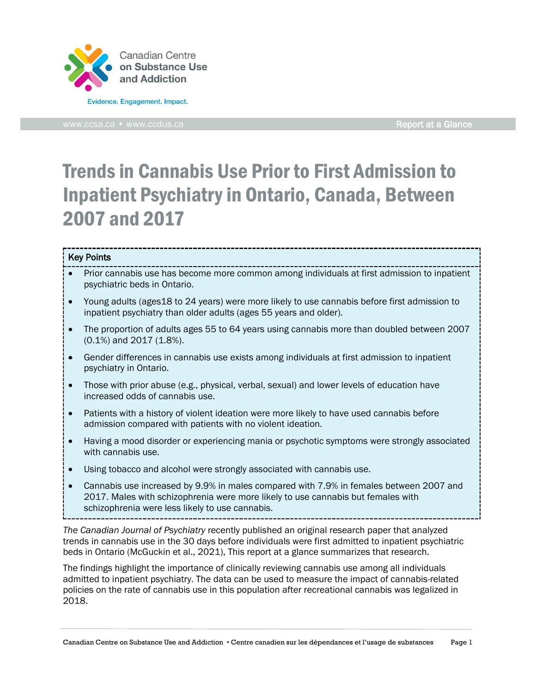

[www.ccsa.ca](http://www.ccsa.ca/) • www.ccdus.ca Report at a Glance Report at a Glance

# Trends in Cannabis Use Prior to First Admission to Inpatient Psychiatry in Ontario, Canada, Between 2007 and 2017

#### Key Points

- Prior cannabis use has become more common among individuals at first admission to inpatient psychiatric beds in Ontario.
- Young adults (ages18 to 24 years) were more likely to use cannabis before first admission to inpatient psychiatry than older adults (ages 55 years and older).
- The proportion of adults ages 55 to 64 years using cannabis more than doubled between 2007 (0.1%) and 2017 (1.8%).
- Gender differences in cannabis use exists among individuals at first admission to inpatient psychiatry in Ontario.
- Those with prior abuse (e.g., physical, verbal, sexual) and lower levels of education have increased odds of cannabis use.
- Patients with a history of violent ideation were more likely to have used cannabis before admission compared with patients with no violent ideation.
- Having a mood disorder or experiencing mania or psychotic symptoms were strongly associated with cannabis use.
- Using tobacco and alcohol were strongly associated with cannabis use.
- Cannabis use increased by 9.9% in males compared with 7.9% in females between 2007 and 2017. Males with schizophrenia were more likely to use cannabis but females with schizophrenia were less likely to use cannabis.

*The Canadian Journal of Psychiatry* recently published an original research paper that analyzed trends in cannabis use in the 30 days before individuals were first admitted to inpatient psychiatric beds in Ontario (McGuckin et al., 2021), This report at a glance summarizes that research.

The findings highlight the importance of clinically reviewing cannabis use among all individuals admitted to inpatient psychiatry. The data can be used to measure the impact of cannabis-related policies on the rate of cannabis use in this population after recreational cannabis was legalized in 2018.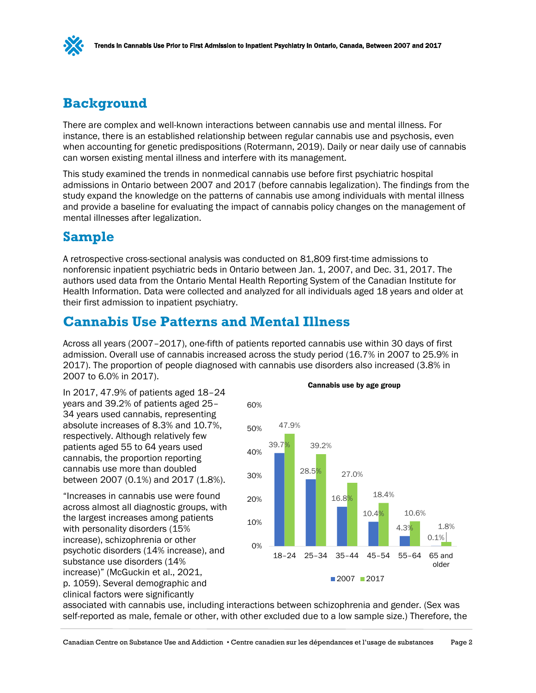# **Background**

There are complex and well-known interactions between cannabis use and mental illness. For instance, there is an established relationship between regular cannabis use and psychosis, even when accounting for genetic predispositions (Rotermann, 2019). Daily or near daily use of cannabis can worsen existing mental illness and interfere with its management.

This study examined the trends in nonmedical cannabis use before first psychiatric hospital admissions in Ontario between 2007 and 2017 (before cannabis legalization). The findings from the study expand the knowledge on the patterns of cannabis use among individuals with mental illness and provide a baseline for evaluating the impact of cannabis policy changes on the management of mental illnesses after legalization.

# **Sample**

A retrospective cross-sectional analysis was conducted on 81,809 first-time admissions to nonforensic inpatient psychiatric beds in Ontario between Jan. 1, 2007, and Dec. 31, 2017. The authors used data from the Ontario Mental Health Reporting System of the Canadian Institute for Health Information. Data were collected and analyzed for all individuals aged 18 years and older at their first admission to inpatient psychiatry.

#### **Cannabis Use Patterns and Mental Illness**

Across all years (2007–2017), one-fifth of patients reported cannabis use within 30 days of first admission. Overall use of cannabis increased across the study period (16.7% in 2007 to 25.9% in 2017). The proportion of people diagnosed with cannabis use disorders also increased (3.8% in 2007 to 6.0% in 2017).

In 2017, 47.9% of patients aged 18–24 years and 39.2% of patients aged 25– 34 years used cannabis, representing absolute increases of 8.3% and 10.7%, respectively. Although relatively few patients aged 55 to 64 years used cannabis, the proportion reporting cannabis use more than doubled between 2007 (0.1%) and 2017 (1.8%).

"Increases in cannabis use were found across almost all diagnostic groups, with the largest increases among patients with personality disorders (15% increase), schizophrenia or other psychotic disorders (14% increase), and substance use disorders (14% increase)" (McGuckin et al., 2021, p. 1059). Several demographic and clinical factors were significantly

#### Cannabis use by age group



associated with cannabis use, including interactions between schizophrenia and gender. (Sex was self-reported as male, female or other, with other excluded due to a low sample size.) Therefore, the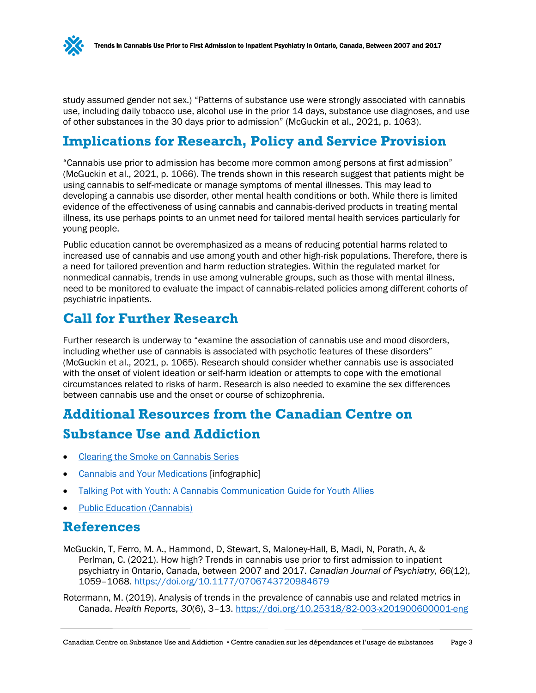

study assumed gender not sex.) "Patterns of substance use were strongly associated with cannabis use, including daily tobacco use, alcohol use in the prior 14 days, substance use diagnoses, and use of other substances in the 30 days prior to admission" (McGuckin et al., 2021, p. 1063).

### **Implications for Research, Policy and Service Provision**

"Cannabis use prior to admission has become more common among persons at first admission" (McGuckin et al., 2021, p. 1066). The trends shown in this research suggest that patients might be using cannabis to self-medicate or manage symptoms of mental illnesses. This may lead to developing a cannabis use disorder, other mental health conditions or both. While there is limited evidence of the effectiveness of using cannabis and cannabis-derived products in treating mental illness, its use perhaps points to an unmet need for tailored mental health services particularly for young people.

Public education cannot be overemphasized as a means of reducing potential harms related to increased use of cannabis and use among youth and other high-risk populations. Therefore, there is a need for tailored prevention and harm reduction strategies. Within the regulated market for nonmedical cannabis, trends in use among vulnerable groups, such as those with mental illness, need to be monitored to evaluate the impact of cannabis-related policies among different cohorts of psychiatric inpatients.

# **Call for Further Research**

Further research is underway to "examine the association of cannabis use and mood disorders, including whether use of cannabis is associated with psychotic features of these disorders" (McGuckin et al., 2021, p. 1065). Research should consider whether cannabis use is associated with the onset of violent ideation or self-harm ideation or attempts to cope with the emotional circumstances related to risks of harm. Research is also needed to examine the sex differences between cannabis use and the onset or course of schizophrenia.

### **Additional Resources from the Canadian Centre on**

#### **Substance Use and Addiction**

- [Clearing the Smoke on Cannabis Series](https://ccsa.ca/search?keywords=&field_series%5B%5D=56&keywords=&sort=field_date-desc&amount_per_page=10&page=1)
- **[Cannabis and Your Medications](https://www.ccsa.ca/cannabis-and-your-medications-infographic) [infographic]**
- **[Talking Pot with Youth: A Cannabis Communication Guide for Youth Allies](https://ccsa.ca/talking-pot-youth-cannabis-communication-guide-youth-allies)**
- **[Public Education \(Cannabis\)](https://ccsa.ca/public-education)**

#### **References**

McGuckin, T, Ferro, M. A., Hammond, D, Stewart, S, Maloney-Hall, B, Madi, N, Porath, A, & Perlman, C. (2021). How high? Trends in cannabis use prior to first admission to inpatient psychiatry in Ontario, Canada, between 2007 and 2017*. Canadian Journal of Psychiatry, 66*(12), 1059–1068. <https://doi.org/10.1177/0706743720984679>

Rotermann, M. (2019). Analysis of trends in the prevalence of cannabis use and related metrics in Canada. *Health Reports, 30*(6), 3–13. <https://doi.org/10.25318/82-003-x201900600001-eng>